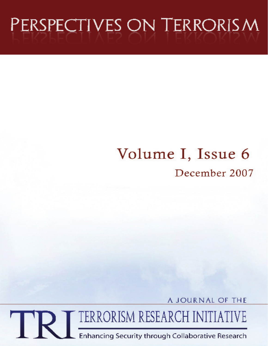# PERSPECTIVES ON TERRORISM

## Volume I, Issue 6 December 2007

A JOURNAL OF THE

TERRORISM RESEARCH INITIATIVE TR

Enhancing Security through Collaborative Research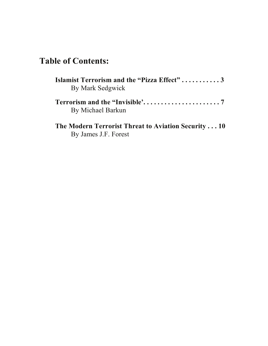### **Table of Contents:**

| <b>Islamist Terrorism and the "Pizza Effect"3</b><br>By Mark Sedgwick |
|-----------------------------------------------------------------------|
| By Michael Barkun                                                     |
| The Modern Terrorist Threat to Aviation Security10                    |

By James J.F. Forest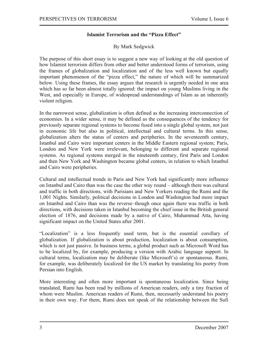#### **Islamist Terrorism and the "Pizza Effect"**

#### By Mark Sedgwick

The purpose of this short essay is to suggest a new way of looking at the old question of how Islamist terrorism differs from other and better understood forms of terrorism, using the frames of globalization and localization and of the less well known but equally important phenomenon of the "pizza effect," the nature of which will be summarized below. Using these frames, the essay argues that research is urgently needed in one area which has so far been almost totally ignored: the impact on young Muslims living in the West, and especially in Europe, of widespread understandings of Islam as an inherently violent religion.

In the narrowest sense, globalization is often defined as the increasing interconnection of economies. In a wider sense, it may be defined as the consequences of the tendency for previously separate regional systems to become fused into a single global system, not just in economic life but also in political, intellectual and cultural terms. In this sense, globalization alters the status of centers and peripheries. In the seventeenth century, Istanbul and Cairo were important centers in the Middle Eastern regional system; Paris, London and New York were irrelevant, belonging to different and separate regional systems. As regional systems merged in the nineteenth century, first Paris and London and then New York and Washington became global centers, in relation to which Istanbul and Cairo were peripheries.

Cultural and intellectual trends in Paris and New York had significantly more influence on Istanbul and Cairo than was the case the other way round – although there was cultural and traffic in both directions, with Parisians and New Yorkers reading the Rumi and the 1,001 Nights. Similarly, political decisions in London and Washington had more impact on Istanbul and Cairo than was the reverse–though once again there was traffic in both directions, with decisions taken in Istanbul becoming the chief issue in the British general election of 1876, and decisions made by a native of Cairo, Muhammad Atta, having significant impact on the United States after 2001.

"Localization" is a less frequently used term, but is the essential corollary of globalization. If globalization is about production, localization is about consumption, which is not just passive. In business terms, a global product such as Microsoft Word has to be localized by, for example, producing a version with Arabic language support. In cultural terms, localization may be deliberate (like Microsoft's) or spontaneous. Rumi, for example, was deliberately localized for the US market by translating his poetry from Persian into English.

More interesting and often more important is spontaneous localization. Since being translated, Rumi has been read by millions of American readers, only a tiny fraction of whom were Muslim. American readers of Rumi, then, necessarily understand his poetry in their own way. For them, Rumi does not speak of the relationship between the Sufi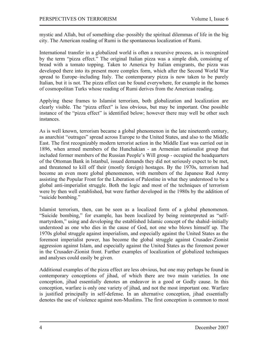mystic and Allah, but of something else–possibly the spiritual dilemmas of life in the big city. The American reading of Rumi is the spontaneous localization of Rumi.

International transfer in a globalized world is often a recursive process, as is recognized by the term "pizza effect." The original Italian pizza was a simple dish, consisting of bread with a tomato topping. Taken to America by Italian emigrants, the pizza was developed there into its present more complex form, which after the Second World War spread to Europe–including Italy. The contemporary pizza is now taken to be purely Italian, but it is not. The pizza effect can be found everywhere, for example in the homes of cosmopolitan Turks whose reading of Rumi derives from the American reading.

Applying these frames to Islamist terrorism, both globalization and localization are clearly visible. The "pizza effect" is less obvious, but may be important. One possible instance of the "pizza effect" is identified below; however there may well be other such instances.

As is well known, terrorism became a global phenomenon in the late nineteenth century, as anarchist "outrages" spread across Europe to the United States, and also to the Middle East. The first recognizably modern terrorist action in the Middle East was carried out in 1896, when armed members of the Hunchakian - an Armenian nationalist group that included former members of the Russian People's Will group - occupied the headquarters of the Ottoman Bank in Istanbul, issued demands they did not seriously expect to be met, and threatened to kill off their (mostly foreign) hostages. By the 1970s, terrorism had become an even more global phenomenon, with members of the Japanese Red Army assisting the Popular Front for the Liberation of Palestine in what they understood to be a global anti-imperialist struggle. Both the logic and most of the techniques of terrorism were by then well established, but were further developed in the 1980s by the addition of "suicide bombing."

Islamist terrorism, then, can be seen as a localized form of a global phenomenon. "Suicide bombing," for example, has been localized by being reinterpreted as "selfmartyrdom," using and developing the established Islamic concept of the shahid–initially understood as one who dies in the cause of God, not one who blows himself up. The 1970s global struggle against imperialism, and especially against the United States as the foremost imperialist power, has become the global struggle against Crusader-Zionist aggression against Islam, and especially against the United States as the foremost power in the Crusader-Zionist front. Further examples of localization of globalized techniques and analyses could easily be given.

Additional examples of the pizza effect are less obvious, but one may perhaps be found in contemporary conceptions of jihad, of which there are two main varieties. In one conception, jihad essentially denotes an endeavor in a good or Godly cause. In this conception, warfare is only one variety of jihad, and not the most important one. Warfare is justified principally in self-defense. In an alternative conception, jihad essentially denotes the use of violence against non-Muslims. The first conception is common to most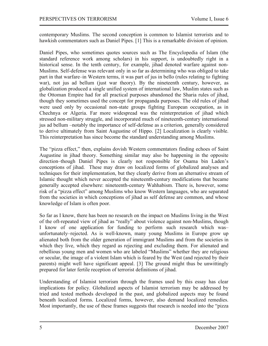contemporary Muslims. The second conception is common to Islamist terrorists and to hawkish commentators such as Daniel Pipes. [1] This is a remarkable division of opinion.

Daniel Pipes, who sometimes quotes sources such as The Encyclopedia of Islam (the standard reference work among scholars) in his support, is undoubtedly right in a historical sense. In the tenth century, for example, jihad denoted warfare against non-Muslims. Self-defense was relevant only in so far as determining who was obliged to take part in that warfare–in Western terms, it was part of jus in bello (rules relating to fighting war), not jus ad bellum (just war theory). By the nineteenth century, however, as globalization produced a single unified system of international law, Muslim states such as the Ottoman Empire had for all practical purposes abandoned the Sharia rules of jihad, though they sometimes used the concept for propaganda purposes. The old rules of jihad were used only by occasional non-state groups fighting European occupation, as in Chechnya or Algeria. Far more widespread was the reinterpretation of jihad which stressed non-military struggle, and incorporated much of nineteenth-century international jus ad bellum –notably the importance of self-defense as a criterion, generally considered to derive ultimately from Saint Augustine of Hippo. [2] Localization is clearly visible. This reinterpretation has since become the standard understanding among Muslims.

The "pizza effect," then, explains dovish Western commentators finding echoes of Saint Augustine in jihad theory. Something similar may also be happening in the opposite direction–though Daniel Pipes is clearly not responsible for Osama bin Laden's conceptions of jihad. These may draw on localized forms of globalized analyses and techniques for their implementation, but they clearly derive from an alternative stream of Islamic thought which never accepted the nineteenth-century modifications that became generally accepted elsewhere: nineteenth-century Wahhabism. There is, however, some risk of a "pizza effect" among Muslims who know Western languages, who are separated from the societies in which conceptions of jihad as self defense are common, and whose knowledge of Islam is often poor.

So far as I know, there has been no research on the impact on Muslims living in the West of the oft-repeated view of jihad as "really" about violence against non-Muslims, though I know of one application for funding to perform such research which was– unfortunately–rejected. As is well-known, many young Muslims in Europe grow up alienated both from the older generation of immigrant Muslims and from the societies in which they live, which they regard as rejecting and excluding them. For alienated and rebellious young men and women who are labeled "Muslims" whether they are religious or secular, the image of a violent Islam which is feared by the West (and rejected by their parents) might well have significant appeal. [3] The ground might thus be unwittingly prepared for later fertile reception of terrorist definitions of jihad.

Understanding of Islamist terrorism through the frames used by this essay has clear implications for policy. Globalized aspects of Islamist terrorism may be addressed by tried and tested methods developed in the past, and globalized aspects may be found beneath localized forms. Localized forms, however, also demand localized remedies. Most importantly, the use of these frames suggests that research is needed into the "pizza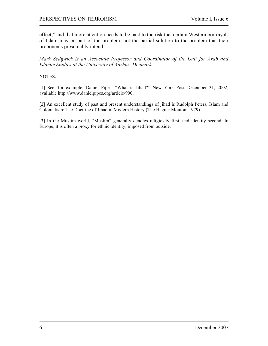effect," and that more attention needs to be paid to the risk that certain Western portrayals of Islam may be part of the problem, not the partial solution to the problem that their proponents presumably intend.

Mark Sedgwick is an Associate Professor and Coordinator of the Unit for Arab and Islamic Studies at the University of Aarhus, Denmark.

#### NOTES:

[1] See, for example, Daniel Pipes, "What is Jihad?" New York Post December 31, 2002, available http://www.danielpipes.org/article/990.

[2] An excellent study of past and present understandings of jihad is Rudolph Peters, Islam and Colonialism: The Doctrine of Jihad in Modern History (The Hague: Mouton, 1979).

[3] In the Muslim world, "Muslim" generally denotes religiosity first, and identity second. In Europe, it is often a proxy for ethnic identity, imposed from outside.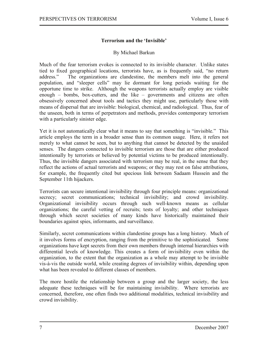#### **Terrorism and the 'Invisible'**

#### By Michael Barkun

Much of the fear terrorism evokes is connected to its invisible character. Unlike states tied to fixed geographical locations, terrorists have, as is frequently said, "no return address." The organizations are clandestine, the members melt into the general population, and "sleeper cells" may lie dormant for long periods waiting for the opportune time to strike. Although the weapons terrorists actually employ are visible enough – bombs, box-cutters, and the like – governments and citizens are often obsessively concerned about tools and tactics they might use, particularly those with means of dispersal that are invisible: biological, chemical, and radiological. Thus, fear of the unseen, both in terms of perpetrators and methods, provides contemporary terrorism with a particularly sinister edge.

Yet it is not automatically clear what it means to say that something is "invisible." This article employs the term in a broader sense than its common usage. Here, it refers not merely to what cannot be seen, but to anything that cannot be detected by the unaided senses. The dangers connected to invisible terrorism are those that are either produced intentionally by terrorists or believed by potential victims to be produced intentionally. Thus, the invisible dangers associated with terrorism may be real, in the sense that they reflect the actions of actual terrorists and weapons; or they may rest on false attributions, for example, the frequently cited but specious link between Sadaam Hussein and the September 11th hijackers.

Terrorists can secure intentional invisibility through four principle means: organizational secrecy; secret communications; technical invisibility; and crowd invisibility. Organizational invisibility occurs through such well-known means as cellular organizations; the careful vetting of recruits; tests of loyalty; and other techniques through which secret societies of many kinds have historically maintained their boundaries against spies, informants, and surveillance.

Similarly, secret communications within clandestine groups has a long history. Much of it involves forms of encryption, ranging from the primitive to the sophisticated. Some organizations have kept secrets from their own members through internal hierarchies with differential levels of knowledge. This creates a form of invisibility even within the organization, to the extent that the organization as a whole may attempt to be invisible vis-à-vis the outside world, while creating degrees of invisibility within, depending upon what has been revealed to different classes of members.

The more hostile the relationship between a group and the larger society, the less adequate these techniques will be for maintaining invisibility. Where terrorists are concerned, therefore, one often finds two additional modalities, technical invisibility and crowd invisibility.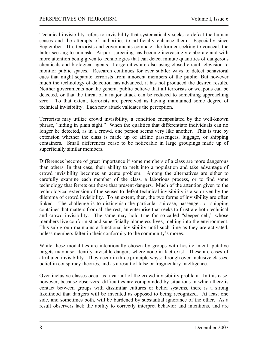Technical invisibility refers to invisibility that systematically seeks to defeat the human senses and the attempts of authorities to artificially enhance them. Especially since September 11th, terrorists and governments compete; the former seeking to conceal, the latter seeking to unmask. Airport screening has become increasingly elaborate and with more attention being given to technologies that can detect minute quantities of dangerous chemicals and biological agents. Large cities are also using closed-circuit television to monitor public spaces. Research continues for ever subtler ways to detect behavioral cues that might separate terrorists from innocent members of the public. But however much the technology of detection has advanced, it has not produced the desired results. Neither governments nor the general public believe that all terrorists or weapons can be detected, or that the threat of a major attack can be reduced to something approaching zero. To that extent, terrorists are perceived as having maintained some degree of technical invisibility. Each new attack validates the perception.

Terrorists may utilize crowd invisibility, a condition encapsulated by the well-known phrase, "hiding in plain sight." When the qualities that differentiate individuals can no longer be detected, as in a crowd, one person seems very like another. This is true by extension whether the class is made up of airline passengers, luggage, or shipping containers. Small differences cease to be noticeable in large groupings made up of superficially similar members.

Differences become of great importance if some members of a class are more dangerous than others. In that case, their ability to melt into a population and take advantage of crowd invisibility becomes an acute problem. Among the alternatives are either to carefully examine each member of the class, a laborious process, or to find some technology that ferrets out those that present dangers. Much of the attention given to the technological extension of the senses to defeat technical invisibility is also driven by the dilemma of crowd invisibility. To an extent, then, the two forms of invisibility are often linked. The challenge is to distinguish the particular suitcase, passenger, or shipping container that matters from all the rest, an enterprise that seeks to frustrate both technical and crowd invisibility. The same may hold true for so-called "sleeper cell," whose members live conformist and superficially blameless lives, melting into the environment. This sub-group maintains a functional invisibility until such time as they are activated, unless members falter in their conformity to the community's mores.

While these modalities are intentionally chosen by groups with hostile intent, putative targets may also identify invisible dangers where none in fact exist. These are cases of attributed invisibility. They occur in three principle ways: through over-inclusive classes, belief in conspiracy theories, and as a result of false or fragmentary intelligence.

Over-inclusive classes occur as a variant of the crowd invisibility problem. In this case, however, because observers' difficulties are compounded by situations in which there is contact between groups with dissimilar cultures or belief systems, there is a strong likelihood that dangers will be invented as opposed to being recognized. At least one side, and sometimes both, will be burdened by substantial ignorance of the other. As a result observers lack the ability to correctly interpret behavior and intentions, and are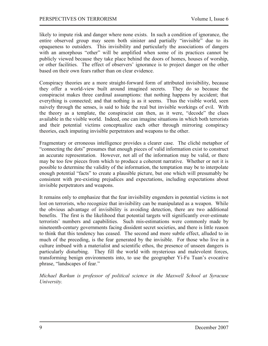likely to impute risk and danger where none exists. In such a condition of ignorance, the entire observed group may seem both sinister and partially "invisible" due to its opaqueness to outsiders. This invisibility and particularly the associations of dangers with an amorphous "other" will be amplified when some of its practices cannot be publicly viewed because they take place behind the doors of homes, houses of worship, or other facilities. The effect of observers' ignorance is to project danger on the other based on their own fears rather than on clear evidence.

Conspiracy theories are a more straight-forward form of attributed invisibility, because they offer a world-view built around imagined secrets. They do so because the conspiracist makes three cardinal assumptions: that nothing happens by accident; that everything is connected; and that nothing is as it seems. Thus the visible world, seen naively through the senses, is said to hide the real but invisible workings of evil. With the theory as a template, the conspiracist can then, as it were, "decode" the clues available in the visible world. Indeed, one can imagine situations in which both terrorists and their potential victims conceptualize each other through mirroring conspiracy theories, each imputing invisible perpetrators and weapons to the other.

Fragmentary or erroneous intelligence provides a clearer case. The cliché metaphor of "connecting the dots" presumes that enough pieces of valid information exist to construct an accurate representation. However, not all of the information may be valid, or there may be too few pieces from which to produce a coherent narrative. Whether or not it is possible to determine the validity of the information, the temptation may be to interpolate enough potential "facts" to create a plausible picture, but one which will presumably be consistent with pre-existing prejudices and expectations, including expectations about invisible perpetrators and weapons.

It remains only to emphasize that the fear invisibility engenders in potential victims is not lost on terrorists, who recognize that invisibility can be manipulated as a weapon. While the obvious advantage of invisibility is avoiding detection, there are two additional benefits. The first is the likelihood that potential targets will significantly over-estimate terrorists' numbers and capabilities. Such mis-estimations were commonly made by nineteenth-century governments facing dissident secret societies, and there is little reason to think that this tendency has ceased. The second and more subtle effect, alluded to in much of the preceding, is the fear generated by the invisible. For those who live in a culture imbued with a materialist and scientific ethos, the presence of unseen dangers is particularly disturbing. They fill the world with mysterious and malevolent forces, transforming benign environments into, to use the geographer Yi-Fu Tuan's evocative phrase, "landscapes of fear."

*Michael Barkun is professor of political science in the Maxwell School at Syracuse <u>University</u>*.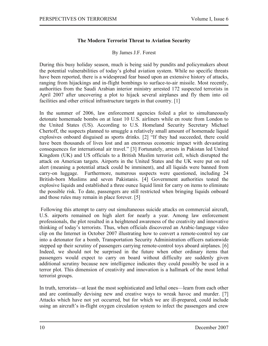#### The Modern Terrorist Threat to Aviation Security

#### By James J.F. Forest

During this busy holiday season, much is being said by pundits and policymakers about the potential vulnerabilities of today's global aviation system. While no specific threats have been reported, there is a widespread fear based upon an extensive history of attacks, ranging from hijackings and in-flight bombings to surface-to-air missile. Most recently, authorities from the Saudi Arabian interior ministry arrested 172 suspected terrorists in April 2007 after uncovering a plot to hijack several airplanes and fly them into oil facilities and other critical infrastructure targets in that country. [1]

In the summer of 2006, law enforcement agencies foiled a plot to simultaneously detonate homemade bombs on at least 10 U.S. airliners while en route from London to the United States (US). According to U.S. Homeland Security Secretary Michael Chertoff, the suspects planned to smuggle a relatively small amount of homemade liquid explosives onboard disguised as sports drinks. [2] "If they had succeeded, there could have been thousands of lives lost and an enormous economic impact with devastating consequences for international air travel." [3] Fortunately, arrests in Pakistan led United Kingdom (UK) and US officials to a British Muslim terrorist cell, which disrupted the attack on American targets. Airports in the United States and the UK were put on red alert (meaning a potential attack could be imminent), and all liquids were banned from carry-on luggage. Furthermore, numerous suspects were questioned, including 24 British-born Muslims and seven Pakistanis. [4] Government authorities tested the explosive liquids and established a three ounce liquid limit for carry on items to eliminate the possible risk. To date, passengers are still restricted when bringing liquids onboard and those rules may remain in place forever. [5]

Following this attempt to carry out simultaneous suicide attacks on commercial aircraft, U.S. airports remained on high alert for nearly a year. Among law enforcement professionals, the plot resulted in a heightened awareness of the creativity and innovative thinking of today's terrorists. Thus, when officials discovered an Arabic-language video clip on the Internet in October 2007 illustrating how to convert a remote-control toy car into a detonator for a bomb, Transportation Security Administration officers nationwide stepped up their scrutiny of passengers carrying remote-control toys aboard airplanes. [6] Indeed, we should not be surprised in the future when other ordinary items that passengers would expect to carry on board without difficulty are suddenly given additional scrutiny because new intelligence indicates they could possibly be used in a terror plot. This dimension of creativity and innovation is a hallmark of the most lethal terrorist groups.

In truth, terrorists—at least the most sophisticated and lethal ones—learn from each other and are continually devising new and creative ways to wreak havoc and murder. [7] Attacks which have not yet occurred, but for which we are ill-prepared, could include using an aircraft's in-flight oxygen circulation system to infect the passengers and crew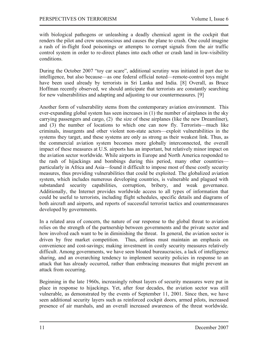with biological pathogens or unleashing a deadly chemical agent in the cockpit that renders the pilot and crew unconscious and causes the plane to crash. One could imagine a rash of in-flight food poisonings or attempts to corrupt signals from the air traffic control system in order to re-direct planes into each other or crash land in low-visibility conditions.

During the October 2007 "toy car scare", additional scrutiny was initiated in part due to intelligence, but also because—as one federal official noted—remote-control toys might have been used already by terrorists in Sri Lanka and India. [8] Overall, as Bruce Hoffman recently observed, we should anticipate that terrorists are constantly searching for new vulnerabilities and adapting and adjusting to our countermeasures. [9]

Another form of vulnerability stems from the contemporary aviation environment. This ever-expanding global system has seen increases in (1) the number of airplanes in the sky carrying passengers and cargo, (2) the size of these airplanes (like the new Dreamliner), and (3) the number of locations to which one can now fly. Terrorists—much like criminals, insurgents and other violent non-state actors—exploit vulnerabilities in the systems they target, and these systems are only as strong as their weakest link. Thus, as the commercial aviation system becomes more globally interconnected, the overall impact of these measures at U.S. airports has an important, but relatively minor impact on the aviation sector worldwide. While airports in Europe and North America responded to the rash of hijackings and bombings during this period, many other countries particularly in Africa and Asia—found it difficult to impose most of these costly security measures, thus providing vulnerabilities that could be exploited. The globalized aviation system, which includes numerous developing countries, is vulnerable and plagued with substandard security capabilities, corruption, bribery, and weak governance. Additionally, the Internet provides worldwide access to all types of information that could be useful to terrorists, including flight schedules, specific details and diagrams of both aircraft and airports, and reports of successful terrorist tactics and countermeasures developed by governments.

In a related area of concern, the nature of our response to the global threat to aviation relies on the strength of the partnership between governments and the private sector and how involved each want to be in diminishing the threat. In general, the aviation sector is driven by free market competition. Thus, airlines must maintain an emphasis on convenience and cost-savings; making investment in costly security measures relatively difficult. Among governments, we have seen bloated bureaucracies, a lack of intelligence sharing, and an overarching tendency to implement security policies in response to an attack that has already occurred, rather than embracing measures that might prevent an attack from occurring.

Beginning in the late 1960s, increasingly robust layers of security measures were put in place in response to hijackings. Yet, after four decades, the aviation sector was still vulnerable, as demonstrated by the events of September 11, 2001. Since then, we have seen additional security layers such as reinforced cockpit doors, armed pilots, increased presence of air marshals, and an overall increased awareness of the threat worldwide.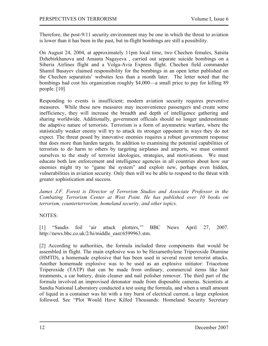Therefore, the post-9/11 security environment may be one in which the threat to aviation is lower than it has been in the past, but in-flight bombings are still a possibility.

On August 24, 2004, at approximately 11pm local time, two Chechen females, Satsita Dzhebirkhanova and Amanta Nagayeva, carried out separate suicide bombings on a Siberia Airlines flight and a Volga-Avia Express flight. Chechen field commander Shamil Basayev claimed responsibility for the bombings in an open letter published on the Chechen separatists' websites less than a month later. The letter noted that the bombings had cost his organization roughly \$4,000—a small price to pay for killing 89 people.  $[10]$ 

Responding to events is insufficient; modern aviation security requires preventive measures. While these new measures may inconvenience passengers and create some inefficiency, they will increase the breadth and depth of intelligence gathering and sharing worldwide. Additionally, government officials should no longer underestimate the adaptive nature of terrorists. Terrorism is a form of asymmetric warfare, where the statistically weaker enemy will try to attack its stronger opponent in ways they do not expect. The threat posed by innovative enemies requires a robust government response that does more than harden targets. In addition to examining the potential capabilities of terrorists to do harm to others by targeting airplanes and airports, we must commit ourselves to the study of terrorist ideologies, strategies, and motivations. We must educate both law enforcement and intelligence agencies in all countries about how our enemies might try to "game the system" and exploit new, perhaps even hidden, vulnerabilities in aviation security. Only then will we be able to respond to the threat with greater sophistication and success.

James J.F. Forest is Director of Terrorism Studies and Associate Professor in the Combating Terrorism Center at West Point. He has published over 10 books on terrorism, counterterrorism, homeland security, and other topics.

#### **NOTES:**

[1] "Saudis foil 'air attack plotters," **BBC News** April 27, 2007. http://news.bbc.co.uk/2/hi/middle east/6599963.stm.

[2] According to authorities, the formula included three components that would be assembled in flight. The main explosive was to be Hexamethylene Triperoxide Diamine (HMTD), a homemade explosive that has been used in several recent terrorist attacks. Another homemade explosive was to be used as an explosive initiator: Triacetone Triperoxide (TATP) that can be made from ordinary, commercial items like hair treatments, a car battery, drain cleaner and nail polisher remover. The third part of the formula involved an improvised detonator made from disposable cameras. Scientists at Sandia National Laboratory conducted a test using the formula, and when a small amount of liquid in a container was hit with a tiny burst of electrical current, a large explosion followed. See "Plot Would Have Killed Thousands: Homeland Security Secretary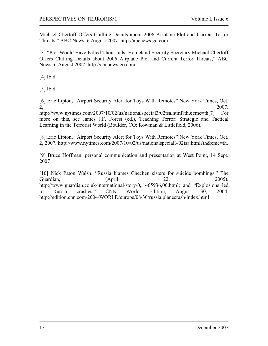Michael Chertoff Offers Chilling Details about 2006 Airplane Plot and Current Terror Threats," ABC News, 6 August 2007. http://abcnews.go.com.

[3] "Plot Would Have Killed Thousands: Homeland Security Secretary Michael Chertoff Offers Chilling Details about 2006 Airplane Plot and Current Terror Threats," ABC News, 6 August 2007. http://abcnews.go.com.

[4] Ibid.

 $[5]$  Ibid.

[6] Eric Lipton, "Airport Security Alert for Toys With Remotes" New York Times, Oct.  $2, 2007.$ 

http://www.nytimes.com/2007/10/02/us/nationalspecial3/02tsa.html?th&emc=th[7] For more on this, see James J.F. Forest (ed.), Teaching Terror: Strategic and Tactical Learning in the Terrorist World (Boulder, CO: Rowman & Littlefield, 2006).

[8] Eric Lipton, "Airport Security Alert for Toys With Remotes" New York Times, Oct. 2, 2007. http://www.nytimes.com/2007/10/02/us/nationalspecial3/02tsa.html?th&emc=th.

[9] Bruce Hoffman, personal communication and presentation at West Point, 14 Sept. 2007

[10] Nick Paton Walsh. "Russia blames Chechen sisters for suicide bombings." The Guardian, (April 22, 2005), http://www.guardian.co.uk/international/story/0,,1465936,00.html; and "Explosions led to Russia crashes," CNN World Edition, August 30, 2004. http://edition.cnn.com/2004/WORLD/europe/08/30/russia.planecrash/index.html